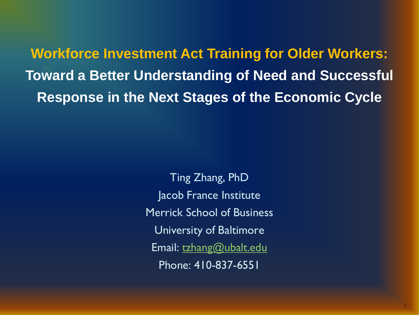**Workforce Investment Act Training for Older Workers: Toward a Better Understanding of Need and Successful Response in the Next Stages of the Economic Cycle**

> Ting Zhang, PhD Jacob France Institute Merrick School of Business University of Baltimore Email: [tzhang@ubalt.edu](mailto:tzhang@ubalt.edu) Phone: 410-837-6551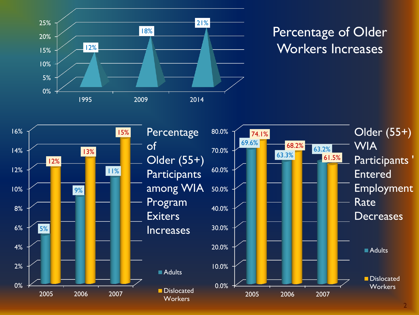

## Percentage of Older Workers Increases